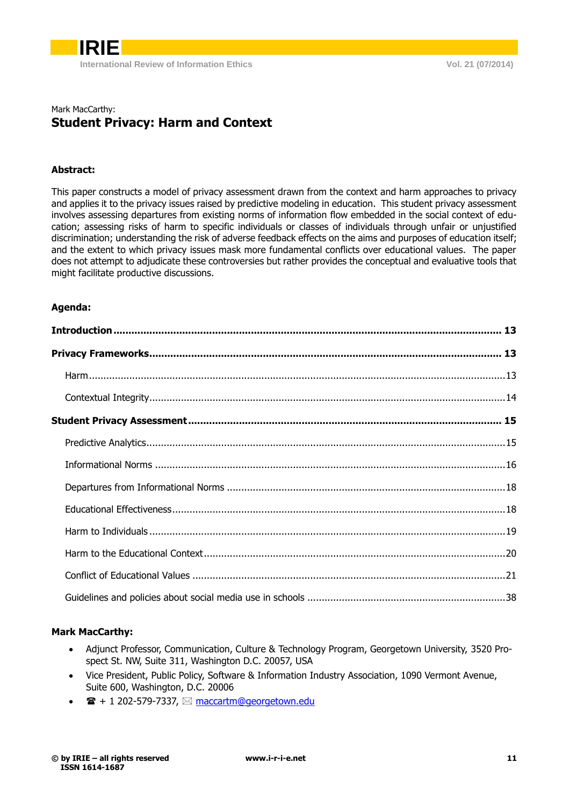

# Mark MacCarthy: **Student Privacy: Harm and Context**

#### **Abstract:**

This paper constructs a model of privacy assessment drawn from the context and harm approaches to privacy and applies it to the privacy issues raised by predictive modeling in education. This student privacy assessment involves assessing departures from existing norms of information flow embedded in the social context of education; assessing risks of harm to specific individuals or classes of individuals through unfair or unjustified discrimination; understanding the risk of adverse feedback effects on the aims and purposes of education itself; and the extent to which privacy issues mask more fundamental conflicts over educational values. The paper does not attempt to adjudicate these controversies but rather provides the conceptual and evaluative tools that might facilitate productive discussions.

#### **Agenda:**

# **Mark MacCarthy:**

- Adjunct Professor, Communication, Culture & Technology Program, Georgetown University, 3520 Prospect St. NW, Suite 311, Washington D.C. 20057, USA
- Vice President, Public Policy, Software & Information Industry Association, 1090 Vermont Avenue, Suite 600, Washington, D.C. 20006
- $\mathbf{F} + 1$  202-579-7337,  $\boxtimes$  [maccartm@georgetown.edu](mailto:maccartm@georgetown.edu)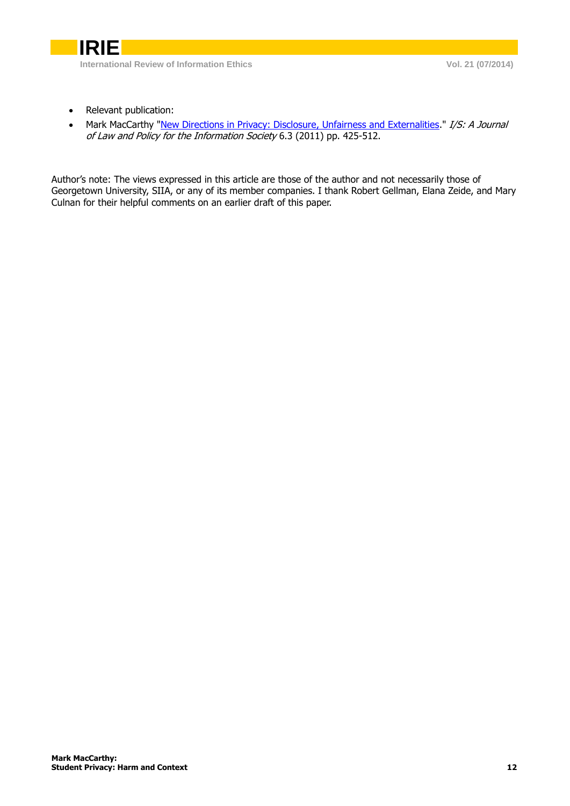

- Relevant publication:
- Mark MacCarthy ["New Directions in Privacy: Disclosure, Unfairness and Externalities.](http://explore.georgetown.edu/publications/index.cfm?Action=View&DocumentID=66520)" I/S: A Journal of Law and Policy for the Information Society 6.3 (2011) pp. 425-512.

Author's note: The views expressed in this article are those of the author and not necessarily those of Georgetown University, SIIA, or any of its member companies. I thank Robert Gellman, Elana Zeide, and Mary Culnan for their helpful comments on an earlier draft of this paper.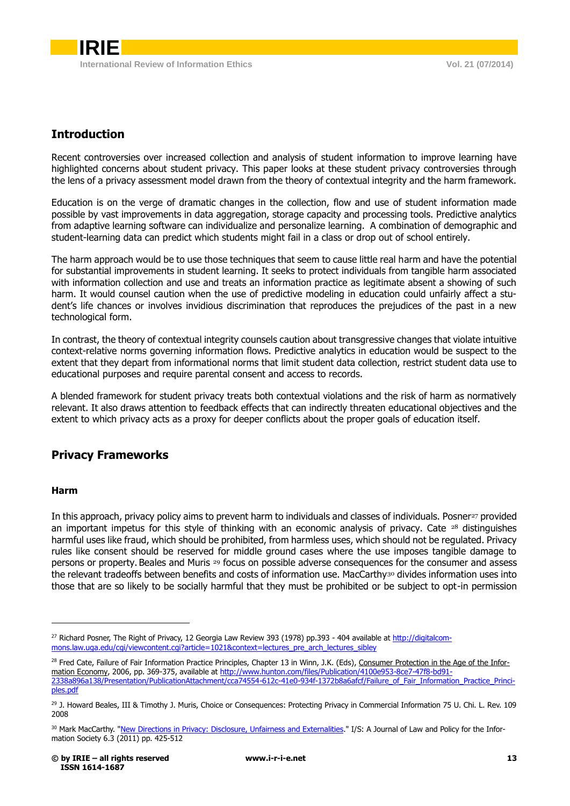# <span id="page-2-0"></span>**Introduction**

Recent controversies over increased collection and analysis of student information to improve learning have highlighted concerns about student privacy. This paper looks at these student privacy controversies through the lens of a privacy assessment model drawn from the theory of contextual integrity and the harm framework.

Education is on the verge of dramatic changes in the collection, flow and use of student information made possible by vast improvements in data aggregation, storage capacity and processing tools. Predictive analytics from adaptive learning software can individualize and personalize learning. A combination of demographic and student-learning data can predict which students might fail in a class or drop out of school entirely.

The harm approach would be to use those techniques that seem to cause little real harm and have the potential for substantial improvements in student learning. It seeks to protect individuals from tangible harm associated with information collection and use and treats an information practice as legitimate absent a showing of such harm. It would counsel caution when the use of predictive modeling in education could unfairly affect a student's life chances or involves invidious discrimination that reproduces the prejudices of the past in a new technological form.

In contrast, the theory of contextual integrity counsels caution about transgressive changes that violate intuitive context-relative norms governing information flows. Predictive analytics in education would be suspect to the extent that they depart from informational norms that limit student data collection, restrict student data use to educational purposes and require parental consent and access to records.

A blended framework for student privacy treats both contextual violations and the risk of harm as normatively relevant. It also draws attention to feedback effects that can indirectly threaten educational objectives and the extent to which privacy acts as a proxy for deeper conflicts about the proper goals of education itself.

# <span id="page-2-2"></span><span id="page-2-1"></span>**Privacy Frameworks**

# **Harm**

-

In this approach, privacy policy aims to prevent harm to individuals and classes of individuals. Posner<sup>27</sup> provided an important impetus for this style of thinking with an economic analysis of privacy. Cate <sup>28</sup> distinguishes harmful uses like fraud, which should be prohibited, from harmless uses, which should not be regulated. Privacy rules like consent should be reserved for middle ground cases where the use imposes tangible damage to persons or property. Beales and Muris <sup>29</sup> focus on possible adverse consequences for the consumer and assess the relevant tradeoffs between benefits and costs of information use. MacCarthy<sup>30</sup> divides information uses into those that are so likely to be socially harmful that they must be prohibited or be subject to opt-in permission

<sup>&</sup>lt;sup>27</sup> Richard Posner, The Right of Privacy, 12 Georgia Law Review 393 (1978) pp.393 - 404 available at [http://digitalcom](http://digitalcommons.law.uga.edu/cgi/viewcontent.cgi?article=1021&context=lectures_pre_arch_lectures_sibley)[mons.law.uga.edu/cgi/viewcontent.cgi?article=1021&context=lectures\\_pre\\_arch\\_lectures\\_sibley](http://digitalcommons.law.uga.edu/cgi/viewcontent.cgi?article=1021&context=lectures_pre_arch_lectures_sibley)

<sup>&</sup>lt;sup>28</sup> Fred Cate, Failure of Fair Information Practice Principles, Chapter 13 in Winn, J.K. (Eds), Consumer Protection in the Age of the Information Economy, 2006, pp. 369-375, available at [http://www.hunton.com/files/Publication/4100e953-8ce7-47f8-bd91-](http://www.hunton.com/files/Publication/4100e953-8ce7-47f8-bd91-2338a896a138/Presentation/PublicationAttachment/cca74554-612c-41e0-934f-1372b8a6afcf/Failure_of_Fair_Information_Practice_Principles.pdf)

[<sup>2338</sup>a896a138/Presentation/PublicationAttachment/cca74554-612c-41e0-934f-1372b8a6afcf/Failure\\_of\\_Fair\\_Information\\_Practice\\_Princi](http://www.hunton.com/files/Publication/4100e953-8ce7-47f8-bd91-2338a896a138/Presentation/PublicationAttachment/cca74554-612c-41e0-934f-1372b8a6afcf/Failure_of_Fair_Information_Practice_Principles.pdf)[ples.pdf](http://www.hunton.com/files/Publication/4100e953-8ce7-47f8-bd91-2338a896a138/Presentation/PublicationAttachment/cca74554-612c-41e0-934f-1372b8a6afcf/Failure_of_Fair_Information_Practice_Principles.pdf)

<sup>&</sup>lt;sup>29</sup> J. Howard Beales, III & Timothy J. Muris, Choice or Consequences: Protecting Privacy in Commercial Information 75 U. Chi. L. Rev. 109 2008

<sup>&</sup>lt;sup>30</sup> Mark MacCarthy. "New Directions in Privacy: [Disclosure, Unfairness and Externalities.](http://explore.georgetown.edu/publications/index.cfm?Action=View&DocumentID=66520)" I/S: A Journal of Law and Policy for the Information Society 6.3 (2011) pp. 425-512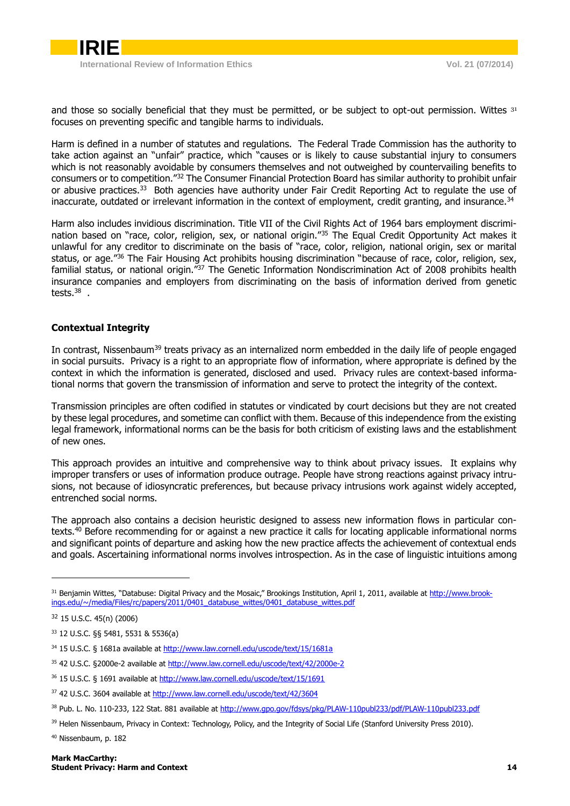

and those so socially beneficial that they must be permitted, or be subject to opt-out permission. Wittes 31 focuses on preventing specific and tangible harms to individuals.

Harm is defined in a number of statutes and regulations. The Federal Trade Commission has the authority to take action against an "unfair" practice, which "causes or is likely to cause substantial injury to consumers which is not reasonably avoidable by consumers themselves and not outweighed by countervailing benefits to consumers or to competition."<sup>32</sup> The Consumer Financial Protection Board has similar authority to prohibit unfair or abusive practices.<sup>33</sup> Both agencies have authority under Fair Credit Reporting Act to regulate the use of inaccurate, outdated or irrelevant information in the context of employment, credit granting, and insurance.<sup>34</sup>

Harm also includes invidious discrimination. Title VII of the Civil Rights Act of 1964 bars employment discrimination based on "race, color, religion, sex, or national origin."<sup>35</sup> The Equal Credit Opportunity Act makes it unlawful for any creditor to discriminate on the basis of "race, color, religion, national origin, sex or marital status, or age.<sup>"36</sup> The Fair Housing Act prohibits housing discrimination "because of race, color, religion, sex, familial status, or national origin.<sup>"37</sup> The Genetic Information Nondiscrimination Act of 2008 prohibits health insurance companies and employers from discriminating on the basis of information derived from genetic tests. $^{38}$  .

# <span id="page-3-0"></span>**Contextual Integrity**

In contrast, Nissenbaum<sup>39</sup> treats privacy as an internalized norm embedded in the daily life of people engaged in social pursuits. Privacy is a right to an appropriate flow of information, where appropriate is defined by the context in which the information is generated, disclosed and used. Privacy rules are context-based informational norms that govern the transmission of information and serve to protect the integrity of the context.

Transmission principles are often codified in statutes or vindicated by court decisions but they are not created by these legal procedures, and sometime can conflict with them. Because of this independence from the existing legal framework, informational norms can be the basis for both criticism of existing laws and the establishment of new ones.

This approach provides an intuitive and comprehensive way to think about privacy issues. It explains why improper transfers or uses of information produce outrage. People have strong reactions against privacy intrusions, not because of idiosyncratic preferences, but because privacy intrusions work against widely accepted, entrenched social norms.

The approach also contains a decision heuristic designed to assess new information flows in particular contexts.<sup>40</sup> Before recommending for or against a new practice it calls for locating applicable informational norms and significant points of departure and asking how the new practice affects the achievement of contextual ends and goals. Ascertaining informational norms involves introspection. As in the case of linguistic intuitions among

<sup>&</sup>lt;sup>31</sup> Benjamin Wittes, "Databuse: Digital Privacy and the Mosaic," Brookings Institution, April 1, 2011, available at [http://www.brook](http://www.brookings.edu/~/media/Files/rc/papers/2011/0401_databuse_wittes/0401_databuse_wittes.pdf)[ings.edu/~/media/Files/rc/papers/2011/0401\\_databuse\\_wittes/0401\\_databuse\\_wittes.pdf](http://www.brookings.edu/~/media/Files/rc/papers/2011/0401_databuse_wittes/0401_databuse_wittes.pdf)

<sup>32</sup> 15 U.S.C. 45(n) (2006)

<sup>33</sup> 12 U.S.C. §§ 5481, 5531 & 5536(a)

<sup>34</sup> 15 U.S.C. § 1681a available a[t http://www.law.cornell.edu/uscode/text/15/1681a](http://www.law.cornell.edu/uscode/text/15/1681a)

<sup>35 42</sup> U.S.C. §2000e-2 available a[t http://www.law.cornell.edu/uscode/text/42/2000e-2](http://www.law.cornell.edu/uscode/text/42/2000e-2)

<sup>36</sup> 15 U.S.C. § 1691 available a[t http://www.law.cornell.edu/uscode/text/15/1691](http://www.law.cornell.edu/uscode/text/15/1691)

<sup>37</sup> 42 U.S.C. 3604 available a[t http://www.law.cornell.edu/uscode/text/42/3604](http://www.law.cornell.edu/uscode/text/42/3604)

<sup>38</sup> Pub. L. No. 110-233, 122 Stat. 881 available at<http://www.gpo.gov/fdsys/pkg/PLAW-110publ233/pdf/PLAW-110publ233.pdf>

<sup>&</sup>lt;sup>39</sup> Helen Nissenbaum, Privacy in Context: Technology, Policy, and the Integrity of Social Life (Stanford University Press 2010).

<sup>40</sup> Nissenbaum, p. 182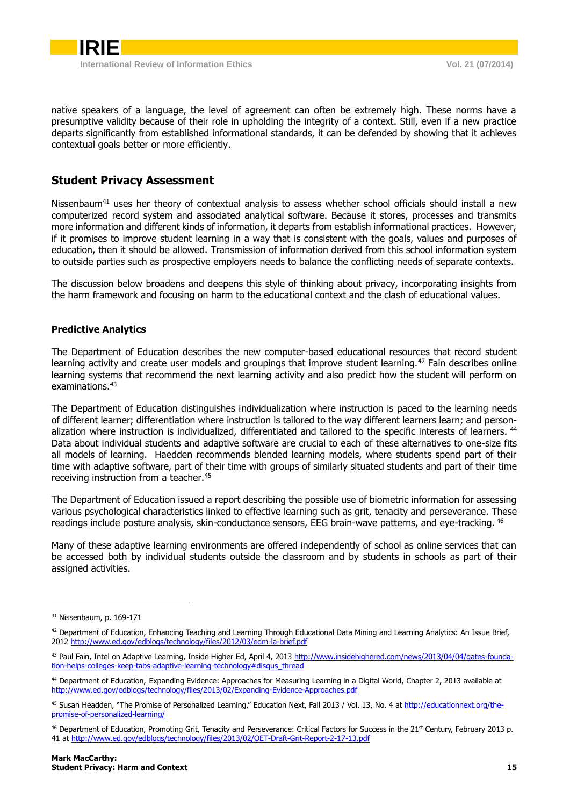

native speakers of a language, the level of agreement can often be extremely high. These norms have a presumptive validity because of their role in upholding the integrity of a context. Still, even if a new practice departs significantly from established informational standards, it can be defended by showing that it achieves contextual goals better or more efficiently.

# <span id="page-4-0"></span>**Student Privacy Assessment**

Nissenbaum<sup>41</sup> uses her theory of contextual analysis to assess whether school officials should install a new computerized record system and associated analytical software. Because it stores, processes and transmits more information and different kinds of information, it departs from establish informational practices. However, if it promises to improve student learning in a way that is consistent with the goals, values and purposes of education, then it should be allowed. Transmission of information derived from this school information system to outside parties such as prospective employers needs to balance the conflicting needs of separate contexts.

<span id="page-4-1"></span>The discussion below broadens and deepens this style of thinking about privacy, incorporating insights from the harm framework and focusing on harm to the educational context and the clash of educational values.

#### **Predictive Analytics**

The Department of Education describes the new computer-based educational resources that record student learning activity and create user models and groupings that improve student learning.<sup>42</sup> Fain describes online learning systems that recommend the next learning activity and also predict how the student will perform on examinations.<sup>43</sup>

The Department of Education distinguishes individualization where instruction is paced to the learning needs of different learner; differentiation where instruction is tailored to the way different learners learn; and personalization where instruction is individualized, differentiated and tailored to the specific interests of learners. <sup>44</sup> Data about individual students and adaptive software are crucial to each of these alternatives to one-size fits all models of learning. Haedden recommends blended learning models, where students spend part of their time with adaptive software, part of their time with groups of similarly situated students and part of their time receiving instruction from a teacher.<sup>45</sup>

The Department of Education issued a report describing the possible use of biometric information for assessing various psychological characteristics linked to effective learning such as grit, tenacity and perseverance. These readings include posture analysis, skin-conductance sensors, EEG brain-wave patterns, and eye-tracking. <sup>46</sup>

Many of these adaptive learning environments are offered independently of school as online services that can be accessed both by individual students outside the classroom and by students in schools as part of their assigned activities.

<sup>41</sup> Nissenbaum, p. 169-171

<sup>42</sup> Department of Education, Enhancing Teaching and Learning Through Educational Data Mining and Learning Analytics: An Issue Brief, 2012<http://www.ed.gov/edblogs/technology/files/2012/03/edm-la-brief.pdf>

<sup>43</sup> Paul Fain, Intel on Adaptive Learning, Inside Higher Ed, April 4, 2013 [http://www.insidehighered.com/news/2013/04/04/gates-founda](http://www.insidehighered.com/news/2013/04/04/gates-foundation-helps-colleges-keep-tabs-adaptive-learning-technology#disqus_thread)[tion-helps-colleges-keep-tabs-adaptive-learning-technology#disqus\\_thread](http://www.insidehighered.com/news/2013/04/04/gates-foundation-helps-colleges-keep-tabs-adaptive-learning-technology#disqus_thread)

<sup>44</sup> Department of Education, Expanding Evidence: Approaches for Measuring Learning in a Digital World, Chapter 2, 2013 available at <http://www.ed.gov/edblogs/technology/files/2013/02/Expanding-Evidence-Approaches.pdf>

<sup>45</sup> Susan Headden, "The Promise of Personalized Learning," Education Next, Fall 2013 / Vol. 13, No. 4 a[t http://educationnext.org/the](http://educationnext.org/the-promise-of-personalized-learning/)[promise-of-personalized-learning/](http://educationnext.org/the-promise-of-personalized-learning/)

<sup>46</sup> Department of Education, Promoting Grit, Tenacity and Perseverance: Critical Factors for Success in the 21<sup>st</sup> Century, February 2013 p. 41 a[t http://www.ed.gov/edblogs/technology/files/2013/02/OET-Draft-Grit-Report-2-17-13.pdf](http://www.ed.gov/edblogs/technology/files/2013/02/OET-Draft-Grit-Report-2-17-13.pdf)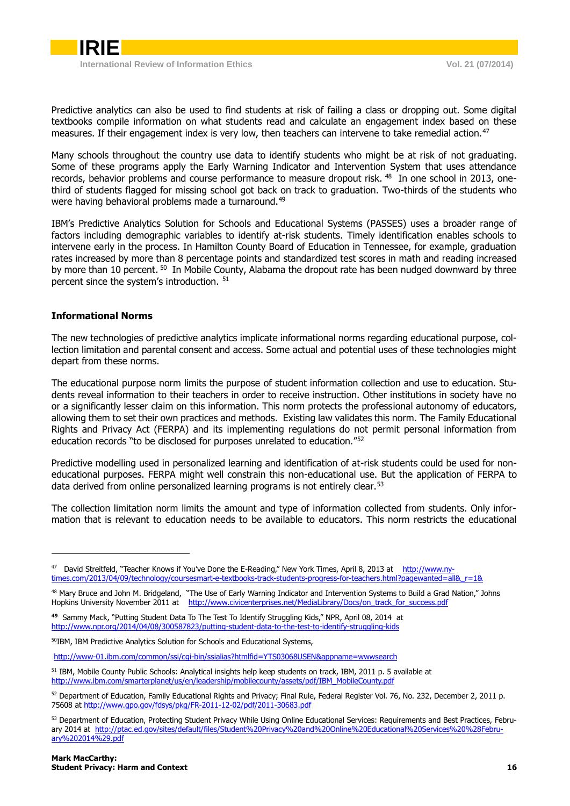

Predictive analytics can also be used to find students at risk of failing a class or dropping out. Some digital textbooks compile information on what students read and calculate an engagement index based on these measures. If their engagement index is very low, then teachers can intervene to take remedial action.<sup>47</sup>

Many schools throughout the country use data to identify students who might be at risk of not graduating. Some of these programs apply the Early Warning Indicator and Intervention System that uses attendance records, behavior problems and course performance to measure dropout risk. <sup>48</sup> In one school in 2013, onethird of students flagged for missing school got back on track to graduation. Two-thirds of the students who were having behavioral problems made a turnaround.<sup>49</sup>

IBM's Predictive Analytics Solution for Schools and Educational Systems (PASSES) uses a broader range of factors including demographic variables to identify at-risk students. Timely identification enables schools to intervene early in the process. In Hamilton County Board of Education in Tennessee, for example, graduation rates increased by more than 8 percentage points and standardized test scores in math and reading increased by more than 10 percent. <sup>50</sup> In Mobile County, Alabama the dropout rate has been nudged downward by three percent since the system's introduction. <sup>51</sup>

#### <span id="page-5-0"></span>**Informational Norms**

The new technologies of predictive analytics implicate informational norms regarding educational purpose, collection limitation and parental consent and access. Some actual and potential uses of these technologies might depart from these norms.

The educational purpose norm limits the purpose of student information collection and use to education. Students reveal information to their teachers in order to receive instruction. Other institutions in society have no or a significantly lesser claim on this information. This norm protects the professional autonomy of educators, allowing them to set their own practices and methods. Existing law validates this norm. The Family Educational Rights and Privacy Act (FERPA) and its implementing regulations do not permit personal information from education records "to be disclosed for purposes unrelated to education."<sup>52</sup>

Predictive modelling used in personalized learning and identification of at-risk students could be used for noneducational purposes. FERPA might well constrain this non-educational use. But the application of FERPA to data derived from online personalized learning programs is not entirely clear.<sup>53</sup>

The collection limitation norm limits the amount and type of information collected from students. Only information that is relevant to education needs to be available to educators. This norm restricts the educational

<sup>&</sup>lt;sup>47</sup> David Streitfeld, "Teacher Knows if You've Done the E-Reading," New York Times, April 8, 2013 at [http://www.ny](http://www.nytimes.com/2013/04/09/technology/coursesmart-e-textbooks-track-students-progress-for-teachers.html?pagewanted=all&_r=1&)[times.com/2013/04/09/technology/coursesmart-e-textbooks-track-students-progress-for-teachers.html?pagewanted=all&\\_r=1&](http://www.nytimes.com/2013/04/09/technology/coursesmart-e-textbooks-track-students-progress-for-teachers.html?pagewanted=all&_r=1&)

<sup>&</sup>lt;sup>48</sup> Mary Bruce and John M. Bridgeland, "The Use of Early Warning Indicator and Intervention Systems to Build a Grad Nation," Johns Hopkins University November 2011 at [http://www.civicenterprises.net/MediaLibrary/Docs/on\\_track\\_for\\_success.pdf](http://www.civicenterprises.net/MediaLibrary/Docs/on_track_for_success.pdf)

**<sup>49</sup>** Sammy Mack, "Putting Student Data To The Test To Identify Struggling Kids," NPR, April 08, 2014 at <http://www.npr.org/2014/04/08/300587823/putting-student-data-to-the-test-to-identify-struggling-kids>

<sup>50</sup>IBM, IBM Predictive Analytics Solution for Schools and Educational Systems,

<http://www-01.ibm.com/common/ssi/cgi-bin/ssialias?htmlfid=YTS03068USEN&appname=wwwsearch>

<sup>51</sup> IBM, Mobile County Public Schools: Analytical insights help keep students on track, IBM, 2011 p. 5 available at [http://www.ibm.com/smarterplanet/us/en/leadership/mobilecounty/assets/pdf/IBM\\_MobileCounty.pdf](http://www.ibm.com/smarterplanet/us/en/leadership/mobilecounty/assets/pdf/IBM_MobileCounty.pdf)

<sup>52</sup> Department of Education, Family Educational Rights and Privacy; Final Rule, Federal Register Vol. 76, No. 232, December 2, 2011 p. 75608 a[t http://www.gpo.gov/fdsys/pkg/FR-2011-12-02/pdf/2011-30683.pdf](http://www.gpo.gov/fdsys/pkg/FR-2011-12-02/pdf/2011-30683.pdf)

<sup>53</sup> Department of Education, Protecting Student Privacy While Using Online Educational Services: Requirements and Best Practices, February 2014 at [http://ptac.ed.gov/sites/default/files/Student%20Privacy%20and%20Online%20Educational%20Services%20%28Febru](http://ptac.ed.gov/sites/default/files/Student%20Privacy%20and%20Online%20Educational%20Services%20%28February%202014%29.pdf)[ary%202014%29.pdf](http://ptac.ed.gov/sites/default/files/Student%20Privacy%20and%20Online%20Educational%20Services%20%28February%202014%29.pdf)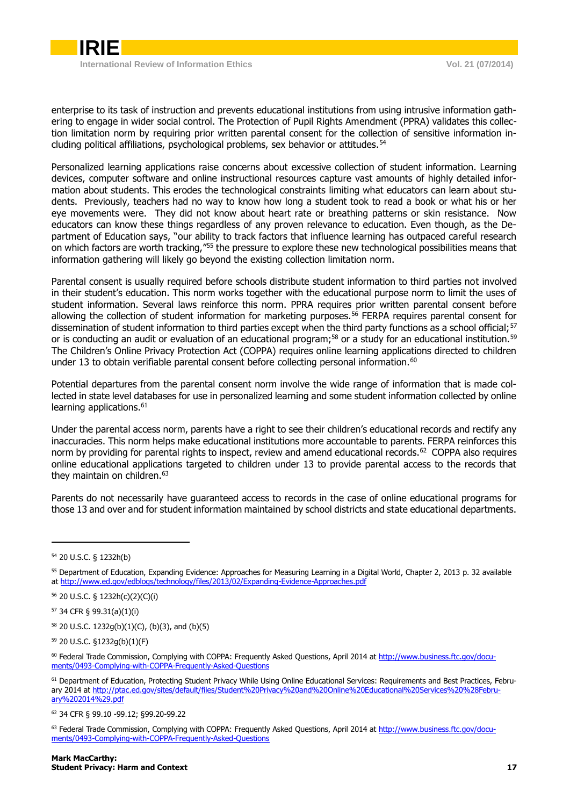

enterprise to its task of instruction and prevents educational institutions from using intrusive information gathering to engage in wider social control. The Protection of Pupil Rights Amendment (PPRA) validates this collection limitation norm by requiring prior written parental consent for the collection of sensitive information including political affiliations, psychological problems, sex behavior or attitudes.<sup>54</sup>

Personalized learning applications raise concerns about excessive collection of student information. Learning devices, computer software and online instructional resources capture vast amounts of highly detailed information about students. This erodes the technological constraints limiting what educators can learn about students. Previously, teachers had no way to know how long a student took to read a book or what his or her eye movements were. They did not know about heart rate or breathing patterns or skin resistance. Now educators can know these things regardless of any proven relevance to education. Even though, as the Department of Education says, "our ability to track factors that influence learning has outpaced careful research on which factors are worth tracking,"<sup>55</sup> the pressure to explore these new technological possibilities means that information gathering will likely go beyond the existing collection limitation norm.

Parental consent is usually required before schools distribute student information to third parties not involved in their student's education. This norm works together with the educational purpose norm to limit the uses of student information. Several laws reinforce this norm. PPRA requires prior written parental consent before allowing the collection of student information for marketing purposes.<sup>56</sup> FERPA requires parental consent for dissemination of student information to third parties except when the third party functions as a school official;<sup>57</sup> or is conducting an audit or evaluation of an educational program;<sup>58</sup> or a study for an educational institution.<sup>59</sup> The Children's Online Privacy Protection Act (COPPA) requires online learning applications directed to children under 13 to obtain verifiable parental consent before collecting personal information.<sup>60</sup>

Potential departures from the parental consent norm involve the wide range of information that is made collected in state level databases for use in personalized learning and some student information collected by online learning applications.<sup>61</sup>

Under the parental access norm, parents have a right to see their children's educational records and rectify any inaccuracies. This norm helps make educational institutions more accountable to parents. FERPA reinforces this norm by providing for parental rights to inspect, review and amend educational records.<sup>62</sup> COPPA also requires online educational applications targeted to children under 13 to provide parental access to the records that they maintain on children.<sup>63</sup>

Parents do not necessarily have guaranteed access to records in the case of online educational programs for those 13 and over and for student information maintained by school districts and state educational departments.

<sup>54</sup> 20 U.S.C. § 1232h(b)

<sup>&</sup>lt;sup>55</sup> Department of Education, Expanding Evidence: Approaches for Measuring Learning in a Digital World, Chapter 2, 2013 p. 32 available at<http://www.ed.gov/edblogs/technology/files/2013/02/Expanding-Evidence-Approaches.pdf>

<sup>56</sup> 20 U.S.C. § 1232h(c)(2)(C)(i)

<sup>57</sup> 34 CFR § 99.31(a)(1)(i)

<sup>58</sup> 20 U.S.C. 1232g(b)(1)(C), (b)(3), and (b)(5)

<sup>59</sup> 20 U.S.C. §1232g(b)(1)(F)

<sup>&</sup>lt;sup>60</sup> Federal Trade Commission, Complying with COPPA: Frequently Asked Questions, April 2014 a[t http://www.business.ftc.gov/docu](http://www.business.ftc.gov/documents/0493-Complying-with-COPPA-Frequently-Asked-Questions)[ments/0493-Complying-with-COPPA-Frequently-Asked-Questions](http://www.business.ftc.gov/documents/0493-Complying-with-COPPA-Frequently-Asked-Questions)

<sup>61</sup> Department of Education, Protecting Student Privacy While Using Online Educational Services: Requirements and Best Practices, February 2014 at [http://ptac.ed.gov/sites/default/files/Student%20Privacy%20and%20Online%20Educational%20Services%20%28Febru](http://ptac.ed.gov/sites/default/files/Student%20Privacy%20and%20Online%20Educational%20Services%20%28February%202014%29.pdf)[ary%202014%29.pdf](http://ptac.ed.gov/sites/default/files/Student%20Privacy%20and%20Online%20Educational%20Services%20%28February%202014%29.pdf)

<sup>62</sup> 34 CFR § 99.10 -99.12; §99.20-99.22

<sup>63</sup> Federal Trade Commission, Complying with COPPA: Frequently Asked Questions, April 2014 a[t http://www.business.ftc.gov/docu](http://www.business.ftc.gov/documents/0493-Complying-with-COPPA-Frequently-Asked-Questions)[ments/0493-Complying-with-COPPA-Frequently-Asked-Questions](http://www.business.ftc.gov/documents/0493-Complying-with-COPPA-Frequently-Asked-Questions)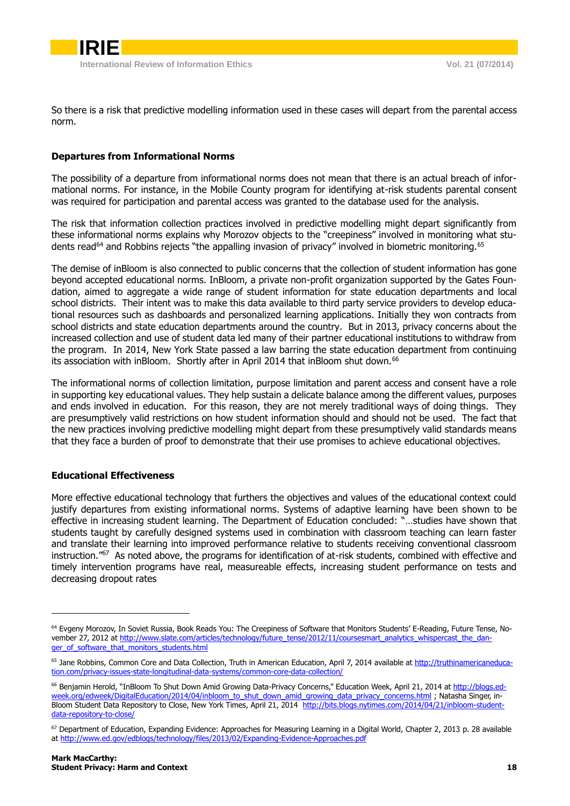

<span id="page-7-0"></span>So there is a risk that predictive modelling information used in these cases will depart from the parental access norm.

### **Departures from Informational Norms**

The possibility of a departure from informational norms does not mean that there is an actual breach of informational norms. For instance, in the Mobile County program for identifying at-risk students parental consent was required for participation and parental access was granted to the database used for the analysis.

The risk that information collection practices involved in predictive modelling might depart significantly from these informational norms explains why Morozov objects to the "creepiness" involved in monitoring what students read<sup>64</sup> and Robbins rejects "the appalling invasion of privacy" involved in biometric monitoring.  $^{65}$ 

The demise of inBloom is also connected to public concerns that the collection of student information has gone beyond accepted educational norms. InBloom, a private non-profit organization supported by the Gates Foundation, aimed to aggregate a wide range of student information for state education departments and local school districts. Their intent was to make this data available to third party service providers to develop educational resources such as dashboards and personalized learning applications. Initially they won contracts from school districts and state education departments around the country. But in 2013, privacy concerns about the increased collection and use of student data led many of their partner educational institutions to withdraw from the program. In 2014, New York State passed a law barring the state education department from continuing its association with inBloom. Shortly after in April 2014 that inBloom shut down.<sup>66</sup>

The informational norms of collection limitation, purpose limitation and parent access and consent have a role in supporting key educational values. They help sustain a delicate balance among the different values, purposes and ends involved in education. For this reason, they are not merely traditional ways of doing things. They are presumptively valid restrictions on how student information should and should not be used. The fact that the new practices involving predictive modelling might depart from these presumptively valid standards means that they face a burden of proof to demonstrate that their use promises to achieve educational objectives.

#### <span id="page-7-1"></span>**Educational Effectiveness**

-

More effective educational technology that furthers the objectives and values of the educational context could justify departures from existing informational norms. Systems of adaptive learning have been shown to be effective in increasing student learning. The Department of Education concluded: "…studies have shown that students taught by carefully designed systems used in combination with classroom teaching can learn faster and translate their learning into improved performance relative to students receiving conventional classroom instruction."<sup>67</sup> As noted above, the programs for identification of at-risk students, combined with effective and timely intervention programs have real, measureable effects, increasing student performance on tests and decreasing dropout rates

<sup>64</sup> Evgeny Morozov, In Soviet Russia, Book Reads You: The Creepiness of Software that Monitors Students' E-Reading, Future Tense, November 27, 2012 at [http://www.slate.com/articles/technology/future\\_tense/2012/11/coursesmart\\_analytics\\_whispercast\\_the\\_dan](http://www.slate.com/articles/technology/future_tense/2012/11/coursesmart_analytics_whispercast_the_danger_of_software_that_monitors_students.html)[ger\\_of\\_software\\_that\\_monitors\\_students.html](http://www.slate.com/articles/technology/future_tense/2012/11/coursesmart_analytics_whispercast_the_danger_of_software_that_monitors_students.html)

<sup>&</sup>lt;sup>65</sup> Jane Robbins, Common Core and Data Collection, Truth in American Education, April 7, 2014 available at [http://truthinamericaneduca](http://truthinamericaneducation.com/privacy-issues-state-longitudinal-data-systems/common-core-data-collection/)[tion.com/privacy-issues-state-longitudinal-data-systems/common-core-data-collection/](http://truthinamericaneducation.com/privacy-issues-state-longitudinal-data-systems/common-core-data-collection/)

<sup>&</sup>lt;sup>66</sup> Benjamin Herold, "InBloom To Shut Down Amid Growing Data-Privacy Concerns," Education Week, April 21, 2014 a[t http://blogs.ed](http://blogs.edweek.org/edweek/DigitalEducation/2014/04/inbloom_to_shut_down_amid_growing_data_privacy_concerns.html)[week.org/edweek/DigitalEducation/2014/04/inbloom\\_to\\_shut\\_down\\_amid\\_growing\\_data\\_privacy\\_concerns.html](http://blogs.edweek.org/edweek/DigitalEducation/2014/04/inbloom_to_shut_down_amid_growing_data_privacy_concerns.html) ; Natasha Singer, in-Bloom Student Data Repository to Close, New York Times, April 21, 2014 [http://bits.blogs.nytimes.com/2014/04/21/inbloom-student](http://bits.blogs.nytimes.com/2014/04/21/inbloom-student-data-repository-to-close/)[data-repository-to-close/](http://bits.blogs.nytimes.com/2014/04/21/inbloom-student-data-repository-to-close/)

<sup>&</sup>lt;sup>67</sup> Department of Education, Expanding Evidence: Approaches for Measuring Learning in a Digital World, Chapter 2, 2013 p. 28 available at<http://www.ed.gov/edblogs/technology/files/2013/02/Expanding-Evidence-Approaches.pdf>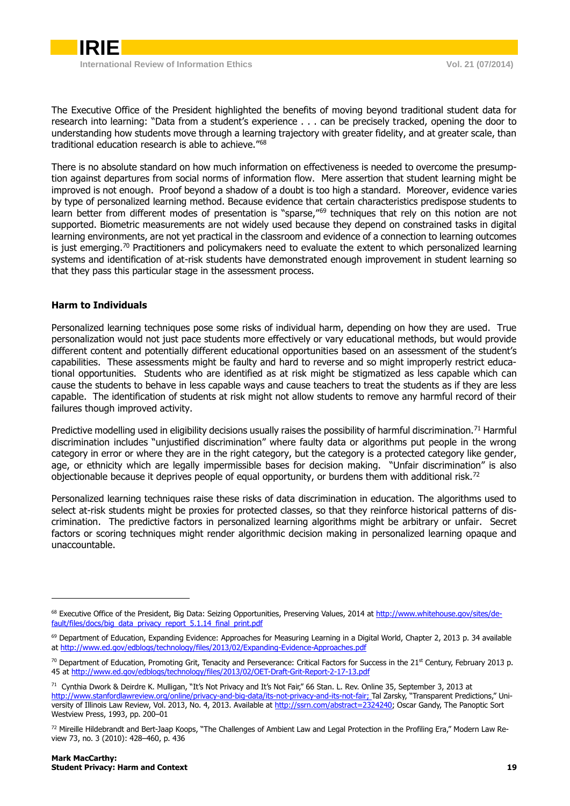

The Executive Office of the President highlighted the benefits of moving beyond traditional student data for research into learning: "Data from a student's experience . . . can be precisely tracked, opening the door to understanding how students move through a learning trajectory with greater fidelity, and at greater scale, than traditional education research is able to achieve."<sup>68</sup>

There is no absolute standard on how much information on effectiveness is needed to overcome the presumption against departures from social norms of information flow. Mere assertion that student learning might be improved is not enough. Proof beyond a shadow of a doubt is too high a standard. Moreover, evidence varies by type of personalized learning method. Because evidence that certain characteristics predispose students to learn better from different modes of presentation is "sparse,"<sup>69</sup> techniques that rely on this notion are not supported. Biometric measurements are not widely used because they depend on constrained tasks in digital learning environments, are not yet practical in the classroom and evidence of a connection to learning outcomes is just emerging.<sup>70</sup> Practitioners and policymakers need to evaluate the extent to which personalized learning systems and identification of at-risk students have demonstrated enough improvement in student learning so that they pass this particular stage in the assessment process.

#### <span id="page-8-0"></span>**Harm to Individuals**

Personalized learning techniques pose some risks of individual harm, depending on how they are used. True personalization would not just pace students more effectively or vary educational methods, but would provide different content and potentially different educational opportunities based on an assessment of the student's capabilities. These assessments might be faulty and hard to reverse and so might improperly restrict educational opportunities. Students who are identified as at risk might be stigmatized as less capable which can cause the students to behave in less capable ways and cause teachers to treat the students as if they are less capable. The identification of students at risk might not allow students to remove any harmful record of their failures though improved activity.

Predictive modelling used in eligibility decisions usually raises the possibility of harmful discrimination.<sup>71</sup> Harmful discrimination includes "unjustified discrimination" where faulty data or algorithms put people in the wrong category in error or where they are in the right category, but the category is a protected category like gender, age, or ethnicity which are legally impermissible bases for decision making. "Unfair discrimination" is also objectionable because it deprives people of equal opportunity, or burdens them with additional risk.<sup>72</sup>

Personalized learning techniques raise these risks of data discrimination in education. The algorithms used to select at-risk students might be proxies for protected classes, so that they reinforce historical patterns of discrimination. The predictive factors in personalized learning algorithms might be arbitrary or unfair. Secret factors or scoring techniques might render algorithmic decision making in personalized learning opaque and unaccountable.

<sup>&</sup>lt;sup>68</sup> Executive Office of the President, Big Data: Seizing Opportunities, Preserving Values, 2014 a[t http://www.whitehouse.gov/sites/de](http://www.whitehouse.gov/sites/default/files/docs/big_data_privacy_report_5.1.14_final_print.pdf)[fault/files/docs/big\\_data\\_privacy\\_report\\_5.1.14\\_final\\_print.pdf](http://www.whitehouse.gov/sites/default/files/docs/big_data_privacy_report_5.1.14_final_print.pdf)

<sup>&</sup>lt;sup>69</sup> Department of Education, Expanding Evidence: Approaches for Measuring Learning in a Digital World, Chapter 2, 2013 p. 34 available at<http://www.ed.gov/edblogs/technology/files/2013/02/Expanding-Evidence-Approaches.pdf>

 $70$  Department of Education, Promoting Grit, Tenacity and Perseverance: Critical Factors for Success in the 21<sup>st</sup> Century, February 2013 p. 45 a[t http://www.ed.gov/edblogs/technology/files/2013/02/OET-Draft-Grit-Report-2-17-13.pdf](http://www.ed.gov/edblogs/technology/files/2013/02/OET-Draft-Grit-Report-2-17-13.pdf)

<sup>71</sup> Cynthia Dwork & Deirdre K. Mulligan, "It's Not Privacy and It's Not Fair," 66 Stan. L. Rev. Online 35, September 3, 2013 at [http://www.stanfordlawreview.org/online/privacy-and-big-data/its-not-privacy-and-its-not-fair;](http://www.stanfordlawreview.org/online/privacy-and-big-data/its-not-privacy-and-its-not-fair) Tal Zarsky, "Transparent Predictions," University of Illinois Law Review, Vol. 2013, No. 4, 2013. Available at [http://ssrn.com/abstract=2324240;](http://ssrn.com/abstract=2324240) Oscar Gandy, The Panoptic Sort Westview Press, 1993, pp. 200–01

<sup>72</sup> Mireille Hildebrandt and Bert-Jaap Koops, "The Challenges of Ambient Law and Legal Protection in the Profiling Era," Modern Law Review 73, no. 3 (2010): 428–460, p. 436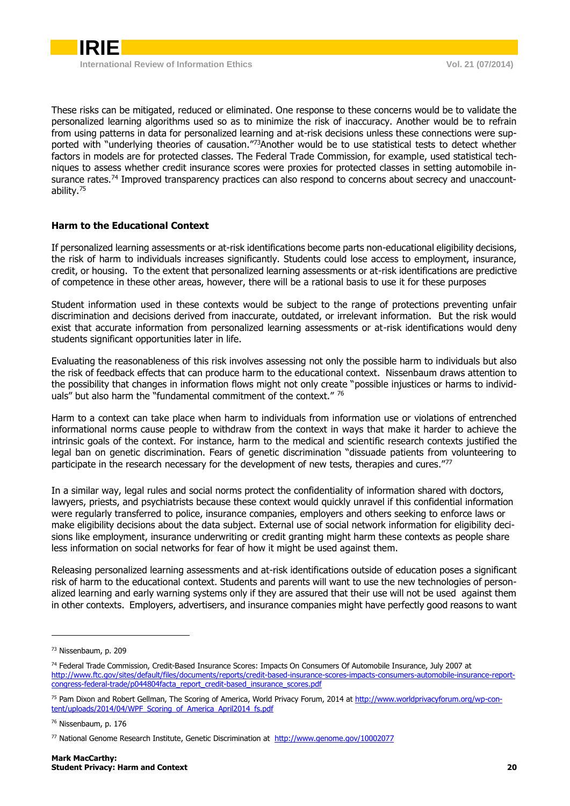These risks can be mitigated, reduced or eliminated. One response to these concerns would be to validate the personalized learning algorithms used so as to minimize the risk of inaccuracy. Another would be to refrain from using patterns in data for personalized learning and at-risk decisions unless these connections were supported with "underlying theories of causation."<sup>73</sup>Another would be to use statistical tests to detect whether factors in models are for protected classes. The Federal Trade Commission, for example, used statistical techniques to assess whether credit insurance scores were proxies for protected classes in setting automobile insurance rates.<sup>74</sup> Improved transparency practices can also respond to concerns about secrecy and unaccountability.<sup>75</sup>

# <span id="page-9-0"></span>**Harm to the Educational Context**

If personalized learning assessments or at-risk identifications become parts non-educational eligibility decisions, the risk of harm to individuals increases significantly. Students could lose access to employment, insurance, credit, or housing. To the extent that personalized learning assessments or at-risk identifications are predictive of competence in these other areas, however, there will be a rational basis to use it for these purposes

Student information used in these contexts would be subject to the range of protections preventing unfair discrimination and decisions derived from inaccurate, outdated, or irrelevant information. But the risk would exist that accurate information from personalized learning assessments or at-risk identifications would deny students significant opportunities later in life.

Evaluating the reasonableness of this risk involves assessing not only the possible harm to individuals but also the risk of feedback effects that can produce harm to the educational context. Nissenbaum draws attention to the possibility that changes in information flows might not only create "possible injustices or harms to individuals" but also harm the "fundamental commitment of the context." 76

Harm to a context can take place when harm to individuals from information use or violations of entrenched informational norms cause people to withdraw from the context in ways that make it harder to achieve the intrinsic goals of the context. For instance, harm to the medical and scientific research contexts justified the legal ban on genetic discrimination. Fears of genetic discrimination "dissuade patients from volunteering to participate in the research necessary for the development of new tests, therapies and cures."<sup>77</sup>

In a similar way, legal rules and social norms protect the confidentiality of information shared with doctors, lawyers, priests, and psychiatrists because these context would quickly unravel if this confidential information were regularly transferred to police, insurance companies, employers and others seeking to enforce laws or make eligibility decisions about the data subject. External use of social network information for eligibility decisions like employment, insurance underwriting or credit granting might harm these contexts as people share less information on social networks for fear of how it might be used against them.

Releasing personalized learning assessments and at-risk identifications outside of education poses a significant risk of harm to the educational context. Students and parents will want to use the new technologies of personalized learning and early warning systems only if they are assured that their use will not be used against them in other contexts. Employers, advertisers, and insurance companies might have perfectly good reasons to want

<sup>73</sup> Nissenbaum, p. 209

<sup>74</sup> Federal Trade Commission, Credit-Based Insurance Scores: Impacts On Consumers Of Automobile Insurance, July 2007 at [http://www.ftc.gov/sites/default/files/documents/reports/credit-based-insurance-scores-impacts-consumers-automobile-insurance-report](http://www.ftc.gov/sites/default/files/documents/reports/credit-based-insurance-scores-impacts-consumers-automobile-insurance-report-congress-federal-trade/p044804facta_report_credit-based_insurance_scores.pdf)[congress-federal-trade/p044804facta\\_report\\_credit-based\\_insurance\\_scores.pdf](http://www.ftc.gov/sites/default/files/documents/reports/credit-based-insurance-scores-impacts-consumers-automobile-insurance-report-congress-federal-trade/p044804facta_report_credit-based_insurance_scores.pdf)

<sup>&</sup>lt;sup>75</sup> Pam Dixon and Robert Gellman, The Scoring of America, World Privacy Forum, 2014 at [http://www.worldprivacyforum.org/wp-con](http://www.worldprivacyforum.org/wp-content/uploads/2014/04/WPF_Scoring_of_America_April2014_fs.pdf)[tent/uploads/2014/04/WPF\\_Scoring\\_of\\_America\\_April2014\\_fs.pdf](http://www.worldprivacyforum.org/wp-content/uploads/2014/04/WPF_Scoring_of_America_April2014_fs.pdf)

<sup>76</sup> Nissenbaum, p. 176

<sup>77</sup> National Genome Research Institute, Genetic Discrimination at <http://www.genome.gov/10002077>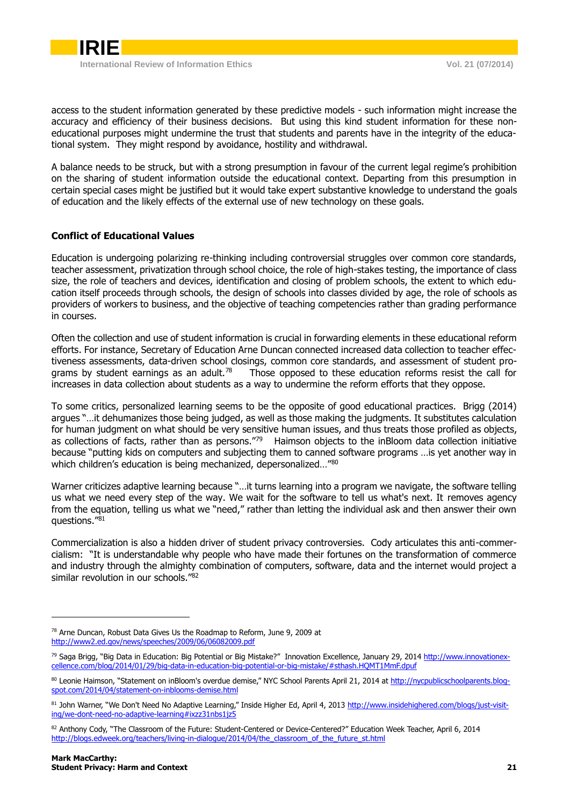

access to the student information generated by these predictive models - such information might increase the accuracy and efficiency of their business decisions. But using this kind student information for these noneducational purposes might undermine the trust that students and parents have in the integrity of the educational system. They might respond by avoidance, hostility and withdrawal.

A balance needs to be struck, but with a strong presumption in favour of the current legal regime's prohibition on the sharing of student information outside the educational context. Departing from this presumption in certain special cases might be justified but it would take expert substantive knowledge to understand the goals of education and the likely effects of the external use of new technology on these goals.

# <span id="page-10-0"></span>**Conflict of Educational Values**

Education is undergoing polarizing re-thinking including controversial struggles over common core standards, teacher assessment, privatization through school choice, the role of high-stakes testing, the importance of class size, the role of teachers and devices, identification and closing of problem schools, the extent to which education itself proceeds through schools, the design of schools into classes divided by age, the role of schools as providers of workers to business, and the objective of teaching competencies rather than grading performance in courses.

Often the collection and use of student information is crucial in forwarding elements in these educational reform efforts. For instance, Secretary of Education Arne Duncan connected increased data collection to teacher effectiveness assessments, data-driven school closings, common core standards, and assessment of student programs by student earnings as an adult. $78$  Those opposed to these education reforms resist the call for increases in data collection about students as a way to undermine the reform efforts that they oppose.

To some critics, personalized learning seems to be the opposite of good educational practices. Brigg (2014) argues "…it dehumanizes those being judged, as well as those making the judgments. It substitutes calculation for human judgment on what should be very sensitive human issues, and thus treats those profiled as objects, as collections of facts, rather than as persons."<sup>79</sup> Haimson objects to the inBloom data collection initiative because "putting kids on computers and subjecting them to canned software programs …is yet another way in which children's education is being mechanized, depersonalized..."80

Warner criticizes adaptive learning because "...it turns learning into a program we navigate, the software telling us what we need every step of the way. We wait for the software to tell us what's next. It removes agency from the equation, telling us what we "need," rather than letting the individual ask and then answer their own questions."<sup>81</sup>

Commercialization is also a hidden driver of student privacy controversies. Cody articulates this anti-commercialism: "It is understandable why people who have made their fortunes on the transformation of commerce and industry through the almighty combination of computers, software, data and the internet would project a similar revolution in our schools."<sup>82</sup>

<sup>78</sup> Arne Duncan, Robust Data Gives Us the Roadmap to Reform, June 9, 2009 at <http://www2.ed.gov/news/speeches/2009/06/06082009.pdf>

<sup>&</sup>lt;sup>79</sup> Saga Brigg, "Big Data in Education: Big Potential or Big Mistake?" Innovation Excellence, January 29, 201[4 http://www.innovationex](http://www.innovationexcellence.com/blog/2014/01/29/big-data-in-education-big-potential-or-big-mistake/#sthash.HQMT1MmF.dpuf)[cellence.com/blog/2014/01/29/big-data-in-education-big-potential-or-big-mistake/#sthash.HQMT1MmF.dpuf](http://www.innovationexcellence.com/blog/2014/01/29/big-data-in-education-big-potential-or-big-mistake/#sthash.HQMT1MmF.dpuf) 

<sup>80</sup> Leonie Haimson, "Statement on inBloom's overdue demise," NYC School Parents April 21, 2014 at [http://nycpublicschoolparents.blog](http://nycpublicschoolparents.blogspot.com/2014/04/statement-on-inblooms-demise.html)[spot.com/2014/04/statement-on-inblooms-demise.html](http://nycpublicschoolparents.blogspot.com/2014/04/statement-on-inblooms-demise.html)

<sup>81</sup> John Warner, "We Don't Need No Adaptive Learning," Inside Higher Ed, April 4, 2013 [http://www.insidehighered.com/blogs/just-visit](http://www.insidehighered.com/blogs/just-visiting/we-dont-need-no-adaptive-learning#ixzz31nbs1jz5)[ing/we-dont-need-no-adaptive-learning#ixzz31nbs1jz5](http://www.insidehighered.com/blogs/just-visiting/we-dont-need-no-adaptive-learning#ixzz31nbs1jz5)

<sup>82</sup> Anthony Cody, "The Classroom of the Future: Student-Centered or Device-Centered?" Education Week Teacher, April 6, 2014 [http://blogs.edweek.org/teachers/living-in-dialogue/2014/04/the\\_classroom\\_of\\_the\\_future\\_st.html](http://blogs.edweek.org/teachers/living-in-dialogue/2014/04/the_classroom_of_the_future_st.html)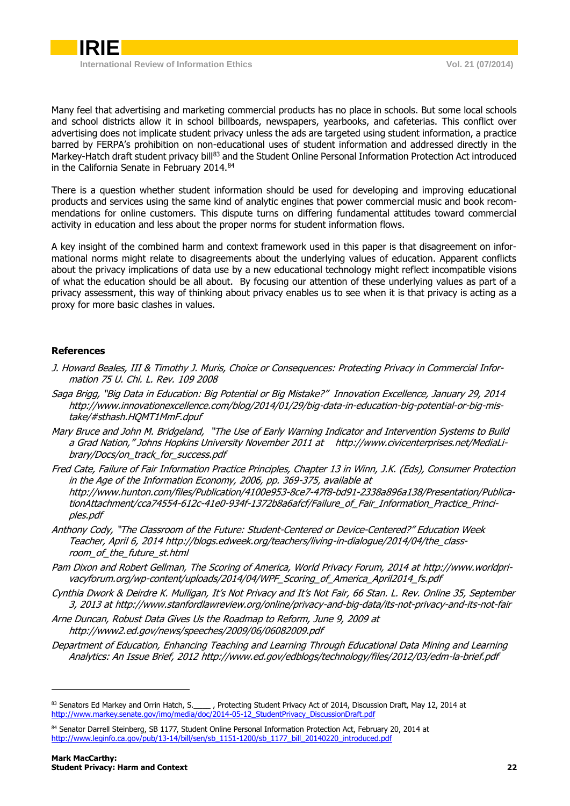

Many feel that advertising and marketing commercial products has no place in schools. But some local schools and school districts allow it in school billboards, newspapers, yearbooks, and cafeterias. This conflict over advertising does not implicate student privacy unless the ads are targeted using student information, a practice barred by FERPA's prohibition on non-educational uses of student information and addressed directly in the Markey-Hatch draft student privacy bill<sup>83</sup> and the Student Online Personal Information Protection Act introduced in the California Senate in February 2014.<sup>84</sup>

There is a question whether student information should be used for developing and improving educational products and services using the same kind of analytic engines that power commercial music and book recommendations for online customers. This dispute turns on differing fundamental attitudes toward commercial activity in education and less about the proper norms for student information flows.

A key insight of the combined harm and context framework used in this paper is that disagreement on informational norms might relate to disagreements about the underlying values of education. Apparent conflicts about the privacy implications of data use by a new educational technology might reflect incompatible visions of what the education should be all about. By focusing our attention of these underlying values as part of a privacy assessment, this way of thinking about privacy enables us to see when it is that privacy is acting as a proxy for more basic clashes in values.

#### **References**

- J. Howard Beales, III & Timothy J. Muris, Choice or Consequences: Protecting Privacy in Commercial Information 75 U. Chi. L. Rev. 109 2008
- Saga Brigg, "Big Data in Education: Big Potential or Big Mistake?" Innovation Excellence, January 29, 2014 [http://www.innovationexcellence.com/blog/2014/01/29/big-data-in-education-big-potential-or-big-mis](http://www.innovationexcellence.com/blog/2014/01/29/big-data-in-education-big-potential-or-big-mistake/#sthash.HQMT1MmF.dpuf)[take/#sthash.HQMT1MmF.dpuf](http://www.innovationexcellence.com/blog/2014/01/29/big-data-in-education-big-potential-or-big-mistake/#sthash.HQMT1MmF.dpuf)
- Mary Bruce and John M. Bridgeland, "The Use of Early Warning Indicator and Intervention Systems to Build a Grad Nation," Johns Hopkins University November 2011 at [http://www.civicenterprises.net/MediaLi](http://www.civicenterprises.net/MediaLibrary/Docs/on_track_for_success.pdf)[brary/Docs/on\\_track\\_for\\_success.pdf](http://www.civicenterprises.net/MediaLibrary/Docs/on_track_for_success.pdf)
- Fred Cate, Failure of Fair Information Practice Principles, Chapter 13 in Winn, J.K. (Eds), Consumer Protection in the Age of the Information Economy, 2006, pp. 369-375, available at [http://www.hunton.com/files/Publication/4100e953-8ce7-47f8-bd91-2338a896a138/Presentation/Publica](http://www.hunton.com/files/Publication/4100e953-8ce7-47f8-bd91-2338a896a138/Presentation/PublicationAttachment/cca74554-612c-41e0-934f-1372b8a6afcf/Failure_of_Fair_Information_Practice_Principles.pdf)[tionAttachment/cca74554-612c-41e0-934f-1372b8a6afcf/Failure\\_of\\_Fair\\_Information\\_Practice\\_Princi](http://www.hunton.com/files/Publication/4100e953-8ce7-47f8-bd91-2338a896a138/Presentation/PublicationAttachment/cca74554-612c-41e0-934f-1372b8a6afcf/Failure_of_Fair_Information_Practice_Principles.pdf)[ples.pdf](http://www.hunton.com/files/Publication/4100e953-8ce7-47f8-bd91-2338a896a138/Presentation/PublicationAttachment/cca74554-612c-41e0-934f-1372b8a6afcf/Failure_of_Fair_Information_Practice_Principles.pdf)
- Anthony Cody, "The Classroom of the Future: Student-Centered or Device-Centered?" Education Week Teacher, April 6, 201[4 http://blogs.edweek.org/teachers/living-in-dialogue/2014/04/the\\_class](http://blogs.edweek.org/teachers/living-in-dialogue/2014/04/the_classroom_of_the_future_st.html)room of the future st.html
- Pam Dixon and Robert Gellman, The Scoring of America, World Privacy Forum, 2014 a[t http://www.worldpri](http://www.worldprivacyforum.org/wp-content/uploads/2014/04/WPF_Scoring_of_America_April2014_fs.pdf)[vacyforum.org/wp-content/uploads/2014/04/WPF\\_Scoring\\_of\\_America\\_April2014\\_fs.pdf](http://www.worldprivacyforum.org/wp-content/uploads/2014/04/WPF_Scoring_of_America_April2014_fs.pdf)
- Cynthia Dwork & Deirdre K. Mulligan, It's Not Privacy and It's Not Fair, 66 Stan. L. Rev. Online 35, September 3, 2013 a[t http://www.stanfordlawreview.org/online/privacy-and-big-data/its-not-privacy-and-its-not-fair](http://www.stanfordlawreview.org/online/privacy-and-big-data/its-not-privacy-and-its-not-fair)
- Arne Duncan, Robust Data Gives Us the Roadmap to Reform, June 9, 2009 at <http://www2.ed.gov/news/speeches/2009/06/06082009.pdf>
- Department of Education, Enhancing Teaching and Learning Through Educational Data Mining and Learning Analytics: An Issue Brief, 201[2 http://www.ed.gov/edblogs/technology/files/2012/03/edm-la-brief.pdf](http://www.ed.gov/edblogs/technology/files/2012/03/edm-la-brief.pdf)

<sup>83</sup> Senators Ed Markey and Orrin Hatch, S.\_\_\_\_\_, Protecting Student Privacy Act of 2014, Discussion Draft, May 12, 2014 at [http://www.markey.senate.gov/imo/media/doc/2014-05-12\\_StudentPrivacy\\_DiscussionDraft.pdf](http://www.markey.senate.gov/imo/media/doc/2014-05-12_StudentPrivacy_DiscussionDraft.pdf)

<sup>84</sup> Senator Darrell Steinberg, SB 1177, Student Online Personal Information Protection Act, February 20, 2014 at [http://www.leginfo.ca.gov/pub/13-14/bill/sen/sb\\_1151-1200/sb\\_1177\\_bill\\_20140220\\_introduced.pdf](http://www.leginfo.ca.gov/pub/13-14/bill/sen/sb_1151-1200/sb_1177_bill_20140220_introduced.pdf)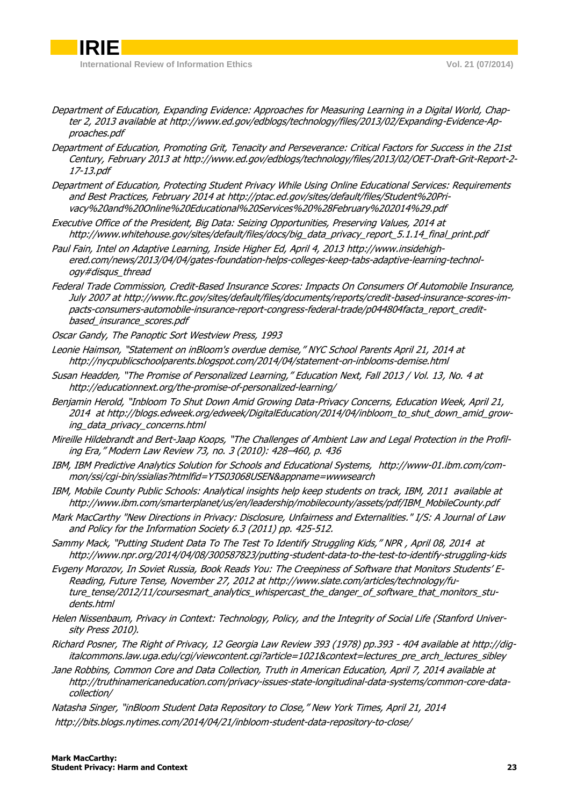**IRIE**

- Department of Education, Expanding Evidence: Approaches for Measuring Learning in a Digital World, Chapter 2, 2013 available a[t http://www.ed.gov/edblogs/technology/files/2013/02/Expanding-Evidence-Ap](http://www.ed.gov/edblogs/technology/files/2013/02/Expanding-Evidence-Approaches.pdf)[proaches.pdf](http://www.ed.gov/edblogs/technology/files/2013/02/Expanding-Evidence-Approaches.pdf)
- Department of Education, Promoting Grit, Tenacity and Perseverance: Critical Factors for Success in the 21st Century, February 2013 a[t http://www.ed.gov/edblogs/technology/files/2013/02/OET-Draft-Grit-Report-2-](http://www.ed.gov/edblogs/technology/files/2013/02/OET-Draft-Grit-Report-2-17-13.pdf) [17-13.pdf](http://www.ed.gov/edblogs/technology/files/2013/02/OET-Draft-Grit-Report-2-17-13.pdf)
- Department of Education, Protecting Student Privacy While Using Online Educational Services: Requirements and Best Practices, February 2014 a[t http://ptac.ed.gov/sites/default/files/Student%20Pri](http://ptac.ed.gov/sites/default/files/Student%20Privacy%20and%20Online%20Educational%20Services%20%28February%202014%29.pdf)[vacy%20and%20Online%20Educational%20Services%20%28February%202014%29.pdf](http://ptac.ed.gov/sites/default/files/Student%20Privacy%20and%20Online%20Educational%20Services%20%28February%202014%29.pdf)
- Executive Office of the President, Big Data: Seizing Opportunities, Preserving Values, 2014 at [http://www.whitehouse.gov/sites/default/files/docs/big\\_data\\_privacy\\_report\\_5.1.14\\_final\\_print.pdf](http://www.whitehouse.gov/sites/default/files/docs/big_data_privacy_report_5.1.14_final_print.pdf)
- Paul Fain, Intel on Adaptive Learning, Inside Higher Ed, April 4, 201[3 http://www.insidehigh](http://www.insidehighered.com/news/2013/04/04/gates-foundation-helps-colleges-keep-tabs-adaptive-learning-technology#disqus_thread)[ered.com/news/2013/04/04/gates-foundation-helps-colleges-keep-tabs-adaptive-learning-technol](http://www.insidehighered.com/news/2013/04/04/gates-foundation-helps-colleges-keep-tabs-adaptive-learning-technology#disqus_thread)[ogy#disqus\\_thread](http://www.insidehighered.com/news/2013/04/04/gates-foundation-helps-colleges-keep-tabs-adaptive-learning-technology#disqus_thread)
- Federal Trade Commission, Credit-Based Insurance Scores: Impacts On Consumers Of Automobile Insurance, July 2007 a[t http://www.ftc.gov/sites/default/files/documents/reports/credit-based-insurance-scores-im](http://www.ftc.gov/sites/default/files/documents/reports/credit-based-insurance-scores-impacts-consumers-automobile-insurance-report-congress-federal-trade/p044804facta_report_credit-based_insurance_scores.pdf)[pacts-consumers-automobile-insurance-report-congress-federal-trade/p044804facta\\_report\\_credit](http://www.ftc.gov/sites/default/files/documents/reports/credit-based-insurance-scores-impacts-consumers-automobile-insurance-report-congress-federal-trade/p044804facta_report_credit-based_insurance_scores.pdf)[based\\_insurance\\_scores.pdf](http://www.ftc.gov/sites/default/files/documents/reports/credit-based-insurance-scores-impacts-consumers-automobile-insurance-report-congress-federal-trade/p044804facta_report_credit-based_insurance_scores.pdf)
- Oscar Gandy, The Panoptic Sort Westview Press, 1993
- Leonie Haimson, "Statement on inBloom's overdue demise," NYC School Parents April 21, 2014 at <http://nycpublicschoolparents.blogspot.com/2014/04/statement-on-inblooms-demise.html>
- Susan Headden, "The Promise of Personalized Learning," Education Next, Fall 2013 / Vol. 13, No. 4 at <http://educationnext.org/the-promise-of-personalized-learning/>
- Benjamin Herold, "Inbloom To Shut Down Amid Growing Data-Privacy Concerns, Education Week, April 21, 2014 a[t http://blogs.edweek.org/edweek/DigitalEducation/2014/04/inbloom\\_to\\_shut\\_down\\_amid\\_grow](http://blogs.edweek.org/edweek/DigitalEducation/2014/04/inbloom_to_shut_down_amid_growing_data_privacy_concerns.html)[ing\\_data\\_privacy\\_concerns.html](http://blogs.edweek.org/edweek/DigitalEducation/2014/04/inbloom_to_shut_down_amid_growing_data_privacy_concerns.html)
- Mireille Hildebrandt and Bert-Jaap Koops, "The Challenges of Ambient Law and Legal Protection in the Profiling Era," Modern Law Review 73, no. 3 (2010): 428–460, p. 436
- IBM, IBM Predictive Analytics Solution for Schools and Educational Systems, [http://www-01.ibm.com/com](http://www-01.ibm.com/common/ssi/cgi-bin/ssialias?htmlfid=YTS03068USEN&appname=wwwsearch)[mon/ssi/cgi-bin/ssialias?htmlfid=YTS03068USEN&appname=wwwsearch](http://www-01.ibm.com/common/ssi/cgi-bin/ssialias?htmlfid=YTS03068USEN&appname=wwwsearch)
- IBM, Mobile County Public Schools: Analytical insights help keep students on track, IBM, 2011 available at [http://www.ibm.com/smarterplanet/us/en/leadership/mobilecounty/assets/pdf/IBM\\_MobileCounty.pdf](http://www.ibm.com/smarterplanet/us/en/leadership/mobilecounty/assets/pdf/IBM_MobileCounty.pdf)
- Mark MacCarthy ["New Directions in Privacy: Disclosure, Unfairness and Externalities.](http://explore.georgetown.edu/publications/index.cfm?Action=View&DocumentID=66520)" I/S: A Journal of Law and Policy for the Information Society 6.3 (2011) pp. 425-512.
- Sammy Mack, "Putting Student Data To The Test To Identify Struggling Kids," NPR , April 08, 2014 at http://www.npr.org/2014/04/08/300587823/putting-student-data-to-the-test-to-identify-struggling-kids
- Evgeny Morozov, In Soviet Russia, Book Reads You: The Creepiness of Software that Monitors Students' E-Reading, Future Tense, November 27, 2012 a[t http://www.slate.com/articles/technology/fu](http://www.slate.com/articles/technology/future_tense/2012/11/coursesmart_analytics_whispercast_the_danger_of_software_that_monitors_students.html)[ture\\_tense/2012/11/coursesmart\\_analytics\\_whispercast\\_the\\_danger\\_of\\_software\\_that\\_monitors\\_stu](http://www.slate.com/articles/technology/future_tense/2012/11/coursesmart_analytics_whispercast_the_danger_of_software_that_monitors_students.html)[dents.html](http://www.slate.com/articles/technology/future_tense/2012/11/coursesmart_analytics_whispercast_the_danger_of_software_that_monitors_students.html)
- Helen Nissenbaum, Privacy in Context: Technology, Policy, and the Integrity of Social Life (Stanford University Press 2010).
- Richard Posner, The Right of Privacy, 12 Georgia Law Review 393 (1978) pp.393 404 available a[t http://dig](http://digitalcommons.law.uga.edu/cgi/viewcontent.cgi?article=1021&context=lectures_pre_arch_lectures_sibley)[italcommons.law.uga.edu/cgi/viewcontent.cgi?article=1021&context=lectures\\_pre\\_arch\\_lectures\\_sibley](http://digitalcommons.law.uga.edu/cgi/viewcontent.cgi?article=1021&context=lectures_pre_arch_lectures_sibley)
- Jane Robbins, Common Core and Data Collection, Truth in American Education, April 7, 2014 available at [http://truthinamericaneducation.com/privacy-issues-state-longitudinal-data-systems/common-core-data](http://truthinamericaneducation.com/privacy-issues-state-longitudinal-data-systems/common-core-data-collection/)[collection/](http://truthinamericaneducation.com/privacy-issues-state-longitudinal-data-systems/common-core-data-collection/)
- Natasha Singer, "inBloom Student Data Repository to Close," New York Times, April 21, 2014 <http://bits.blogs.nytimes.com/2014/04/21/inbloom-student-data-repository-to-close/>